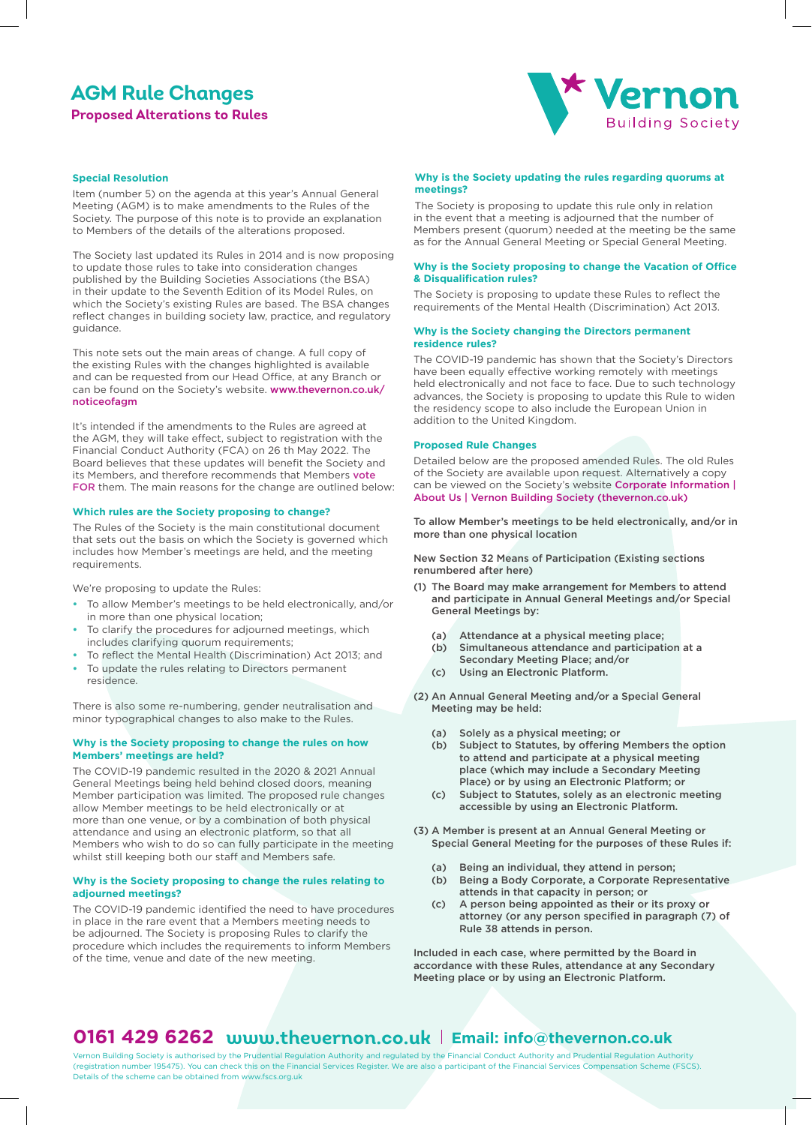# **AGM Rule Changes**

**Proposed Alterations to Rules**



### **Special Resolution**

Item (number 5) on the agenda at this year's Annual General Meeting (AGM) is to make amendments to the Rules of the Society. The purpose of this note is to provide an explanation to Members of the details of the alterations proposed.

The Society last updated its Rules in 2014 and is now proposing to update those rules to take into consideration changes published by the Building Societies Associations (the BSA) in their update to the Seventh Edition of its Model Rules, on which the Society's existing Rules are based. The BSA changes reflect changes in building society law, practice, and regulatory guidance.

This note sets out the main areas of change. A full copy of the existing Rules with the changes highlighted is available and can be requested from our Head Office, at any Branch or can be found on the Society's website. www.thevernon.co.uk/ noticeofagm

It's intended if the amendments to the Rules are agreed at the AGM, they will take effect, subject to registration with the Financial Conduct Authority (FCA) on 26 th May 2022. The Board believes that these updates will benefit the Society and its Members, and therefore recommends that Members vote FOR them. The main reasons for the change are outlined below:

### **Which rules are the Society proposing to change?**

The Rules of the Society is the main constitutional document that sets out the basis on which the Society is governed which includes how Member's meetings are held, and the meeting requirements.

We're proposing to update the Rules:

- **•** To allow Member's meetings to be held electronically, and/or in more than one physical location;
- **•** To clarify the procedures for adjourned meetings, which includes clarifying quorum requirements;
- **•** To reflect the Mental Health (Discrimination) Act 2013; and
- **•** To update the rules relating to Directors permanent residence.

There is also some re-numbering, gender neutralisation and minor typographical changes to also make to the Rules.

### **Why is the Society proposing to change the rules on how Members' meetings are held?**

The COVID-19 pandemic resulted in the 2020 & 2021 Annual General Meetings being held behind closed doors, meaning Member participation was limited. The proposed rule changes allow Member meetings to be held electronically or at more than one venue, or by a combination of both physical attendance and using an electronic platform, so that all Members who wish to do so can fully participate in the meeting whilst still keeping both our staff and Members safe.

### **Why is the Society proposing to change the rules relating to adjourned meetings?**

The COVID-19 pandemic identified the need to have procedures in place in the rare event that a Members meeting needs to be adjourned. The Society is proposing Rules to clarify the procedure which includes the requirements to inform Members of the time, venue and date of the new meeting.

### **Why is the Society updating the rules regarding quorums at meetings?**

The Society is proposing to update this rule only in relation in the event that a meeting is adjourned that the number of Members present (quorum) needed at the meeting be the same as for the Annual General Meeting or Special General Meeting.

### **Why is the Society proposing to change the Vacation of Office & Disqualification rules?**

The Society is proposing to update these Rules to reflect the requirements of the Mental Health (Discrimination) Act 2013.

### **Why is the Society changing the Directors permanent residence rules?**

The COVID-19 pandemic has shown that the Society's Directors have been equally effective working remotely with meetings held electronically and not face to face. Due to such technology advances, the Society is proposing to update this Rule to widen the residency scope to also include the European Union in addition to the United Kingdom.

### **Proposed Rule Changes**

Detailed below are the proposed amended Rules. The old Rules of the Society are available upon request. Alternatively a copy can be viewed on the Society's website Corporate Information | About Us | Vernon Building Society (thevernon.co.uk)

To allow Member's meetings to be held electronically, and/or in more than one physical location

New Section 32 Means of Participation (Existing sections renumbered after here)

- (1) The Board may make arrangement for Members to attend and participate in Annual General Meetings and/or Special General Meetings by:
	- (a) Attendance at a physical meeting place;
	- (b) Simultaneous attendance and participation at a
	- Secondary Meeting Place; and/or
	- (c) Using an Electronic Platform.
- (2) An Annual General Meeting and/or a Special General Meeting may be held:
	- (a) Solely as a physical meeting; or
	- (b) Subject to Statutes, by offering Members the option to attend and participate at a physical meeting place (which may include a Secondary Meeting Place) or by using an Electronic Platform; or
	- (c) Subject to Statutes, solely as an electronic meeting accessible by using an Electronic Platform.
- (3) A Member is present at an Annual General Meeting or Special General Meeting for the purposes of these Rules if:
	- (a) Being an individual, they attend in person;
	- (b) Being a Body Corporate, a Corporate Representative attends in that capacity in person; or
	- (c) A person being appointed as their or its proxy or attorney (or any person specified in paragraph (7) of Rule 38 attends in person.

Included in each case, where permitted by the Board in accordance with these Rules, attendance at any Secondary Meeting place or by using an Electronic Platform.

## **0161 429 6262 www.thevernon.co.uk Email: info@thevernon.co.uk**

Vernon Building Society is authorised by the Prudential Regulation Authority and regulated by the Financial Conduct Authority and Prudential Regulation Authority (registration number 195475). You can check this on the Financial Services Register. We are also a participant of the Financial Services Compensation Scheme (FSCS). Details of the scheme can be obtained from www.fscs.org.uk